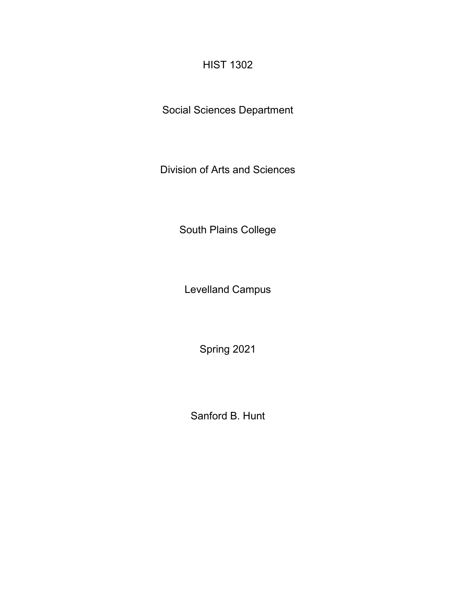# HIST 1302

Social Sciences Department

Division of Arts and Sciences

South Plains College

Levelland Campus

Spring 2021

Sanford B. Hunt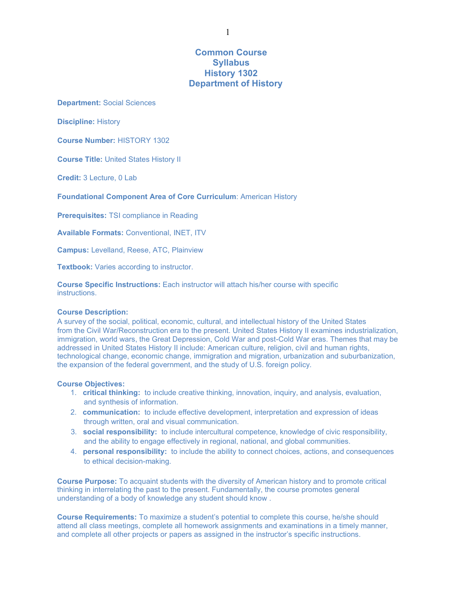# **Common Course Syllabus History 1302 Department of History**

**Department:** Social Sciences

**Discipline:** History

**Course Number:** HISTORY 1302

**Course Title:** United States History II

**Credit:** 3 Lecture, 0 Lab

**Foundational Component Area of Core Curriculum**: American History

**Prerequisites:** TSI compliance in Reading

**Available Formats:** Conventional, INET, ITV

**Campus:** Levelland, Reese, ATC, Plainview

**Textbook:** Varies according to instructor.

**Course Specific Instructions:** Each instructor will attach his/her course with specific instructions.

### **Course Description:**

A survey of the social, political, economic, cultural, and intellectual history of the United States from the Civil War/Reconstruction era to the present. United States History II examines industrialization, immigration, world wars, the Great Depression, Cold War and post-Cold War eras. Themes that may be addressed in United States History II include: American culture, religion, civil and human rights, technological change, economic change, immigration and migration, urbanization and suburbanization, the expansion of the federal government, and the study of U.S. foreign policy.

#### **Course Objectives:**

- 1. **critical thinking:** to include creative thinking, innovation, inquiry, and analysis, evaluation, and synthesis of information.
- 2. **communication:** to include effective development, interpretation and expression of ideas through written, oral and visual communication.
- 3. **social responsibility:** to include intercultural competence, knowledge of civic responsibility, and the ability to engage effectively in regional, national, and global communities.
- 4. **personal responsibility:** to include the ability to connect choices, actions, and consequences to ethical decision-making.

**Course Purpose:** To acquaint students with the diversity of American history and to promote critical thinking in interrelating the past to the present. Fundamentally, the course promotes general understanding of a body of knowledge any student should know .

**Course Requirements:** To maximize a student's potential to complete this course, he/she should attend all class meetings, complete all homework assignments and examinations in a timely manner, and complete all other projects or papers as assigned in the instructor's specific instructions.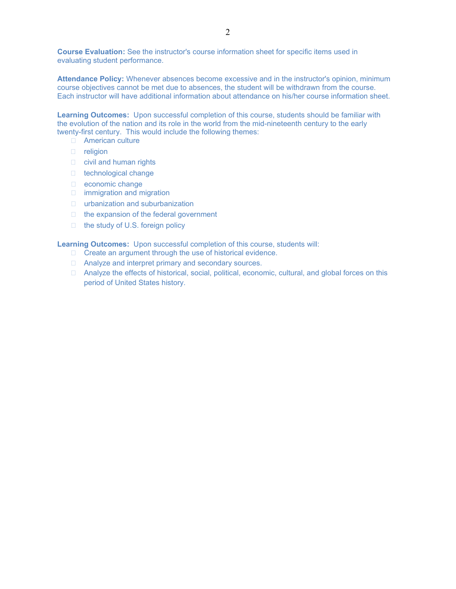**Course Evaluation:** See the instructor's course information sheet for specific items used in evaluating student performance.

**Attendance Policy:** Whenever absences become excessive and in the instructor's opinion, minimum course objectives cannot be met due to absences, the student will be withdrawn from the course. Each instructor will have additional information about attendance on his/her course information sheet.

**Learning Outcomes:** Upon successful completion of this course, students should be familiar with the evolution of the nation and its role in the world from the mid-nineteenth century to the early twenty-first century. This would include the following themes:

- **American culture**
- D religion
- $\Box$  civil and human rights
- □ technological change
- economic change
- immigration and migration
- urbanization and suburbanization
- $\Box$  the expansion of the federal government
- $\Box$  the study of U.S. foreign policy

**Learning Outcomes:** Upon successful completion of this course, students will:

- □ Create an argument through the use of historical evidence.
- □ Analyze and interpret primary and secondary sources.
- $\Box$  Analyze the effects of historical, social, political, economic, cultural, and global forces on this period of United States history.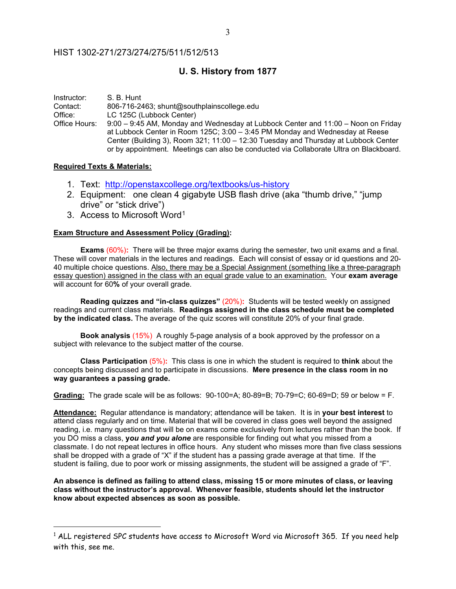## HIST 1302-271/273/274/275/511/512/513

# **U. S. History from 1877**

Instructor: S. B. Hunt<br>Contact: 806-716-24 Contact: 806-716-2463; [shunt@southplainscollege.edu](mailto:shunt@southplainscollege.edu)  LC 125C (Lubbock Center) Office Hours: 9:00 – 9:45 AM, Monday and Wednesday at Lubbock Center and 11:00 – Noon on Friday at Lubbock Center in Room 125C; 3:00 – 3:45 PM Monday and Wednesday at Reese Center (Building 3), Room 321; 11:00 – 12:30 Tuesday and Thursday at Lubbock Center or by appointment. Meetings can also be conducted via Collaborate Ultra on Blackboard.

### **Required Texts & Materials:**

- 1. Text: <http://openstaxcollege.org/textbooks/us-history>
- 2. Equipment: one clean 4 gigabyte USB flash drive (aka "thumb drive," "jump drive" or "stick drive")
- 3. Access to Microsoft Word[1](#page-3-0)

## **Exam Structure and Assessment Policy (Grading):**

**Exams** (60%)**:** There will be three major exams during the semester, two unit exams and a final. These will cover materials in the lectures and readings. Each will consist of essay or id questions and 20- 40 multiple choice questions. Also, there may be a Special Assignment (something like a three-paragraph essay question) assigned in the class with an equal grade value to an examination. Your **exam average** will account for 60**%** of your overall grade.

**Reading quizzes and "in-class quizzes"** (20%)**:** Students will be tested weekly on assigned readings and current class materials. **Readings assigned in the class schedule must be completed by the indicated class.** The average of the quiz scores will constitute 20% of your final grade.

**Book analysis** (15%) A roughly 5-page analysis of a book approved by the professor on a subject with relevance to the subject matter of the course.

**Class Participation** (5%)**:** This class is one in which the student is required to **think** about the concepts being discussed and to participate in discussions. **Mere presence in the class room in no way guarantees a passing grade.**

**Grading:** The grade scale will be as follows: 90-100=A; 80-89=B; 70-79=C; 60-69=D; 59 or below = F.

**Attendance:** Regular attendance is mandatory; attendance will be taken. It is in **your best interest** to attend class regularly and on time. Material that will be covered in class goes well beyond the assigned reading, i.e. many questions that will be on exams come exclusively from lectures rather than the book. If you DO miss a class, **y***ou and you alone* are responsible for finding out what you missed from a classmate. I do not repeat lectures in office hours. Any student who misses more than five class sessions shall be dropped with a grade of "X" if the student has a passing grade average at that time. If the student is failing, due to poor work or missing assignments, the student will be assigned a grade of "F".

**An absence is defined as failing to attend class, missing 15 or more minutes of class, or leaving class without the instructor's approval. Whenever feasible, students should let the instructor know about expected absences as soon as possible.**

<span id="page-3-0"></span> $1$  ALL registered SPC students have access to Microsoft Word via Microsoft 365. If you need help with this, see me.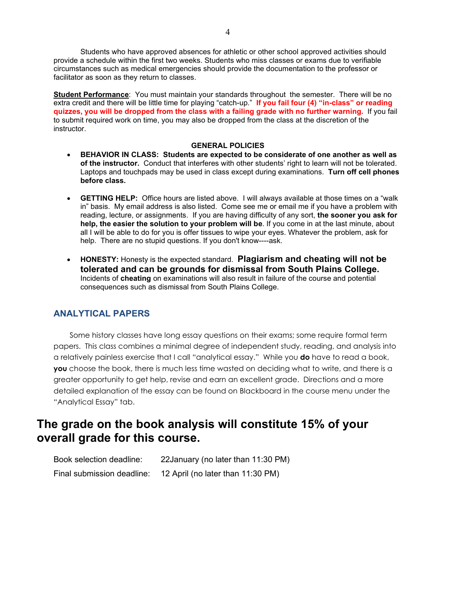Students who have approved absences for athletic or other school approved activities should provide a schedule within the first two weeks. Students who miss classes or exams due to verifiable circumstances such as medical emergencies should provide the documentation to the professor or facilitator as soon as they return to classes.

**Student Performance**: You must maintain your standards throughout the semester. There will be no extra credit and there will be little time for playing "catch-up." **If you fail four (4) "in-class" or reading quizzes, you will be dropped from the class with a failing grade with no further warning.** If you fail to submit required work on time, you may also be dropped from the class at the discretion of the instructor.

## **GENERAL POLICIES**

- **BEHAVIOR IN CLASS: Students are expected to be considerate of one another as well as of the instructor.** Conduct that interferes with other students' right to learn will not be tolerated. Laptops and touchpads may be used in class except during examinations. **Turn off cell phones before class.**
- **GETTING HELP:** Office hours are listed above. I will always available at those times on a "walk in" basis. My email address is also listed. Come see me or email me if you have a problem with reading, lecture, or assignments. If you are having difficulty of any sort, **the sooner you ask for help, the easier the solution to your problem will be**. If you come in at the last minute, about all I will be able to do for you is offer tissues to wipe your eyes. Whatever the problem, ask for help. There are no stupid questions. If you don't know----ask.
- **HONESTY:** Honesty is the expected standard. **Plagiarism and cheating will not be tolerated and can be grounds for dismissal from South Plains College.** Incidents of **cheating** on examinations will also result in failure of the course and potential consequences such as dismissal from South Plains College.

## **ANALYTICAL PAPERS**

Some history classes have long essay questions on their exams; some require formal term papers. This class combines a minimal degree of independent study, reading, and analysis into a relatively painless exercise that I call "analytical essay." While you **do** have to read a book, **you** choose the book, there is much less time wasted on deciding what to write, and there is a greater opportunity to get help, revise and earn an excellent grade. Directions and a more detailed explanation of the essay can be found on Blackboard in the course menu under the "Analytical Essay" tab.

# **The grade on the book analysis will constitute 15% of your overall grade for this course.**

Book selection deadline: 22January (no later than 11:30 PM) Final submission deadline: 12 April (no later than 11:30 PM)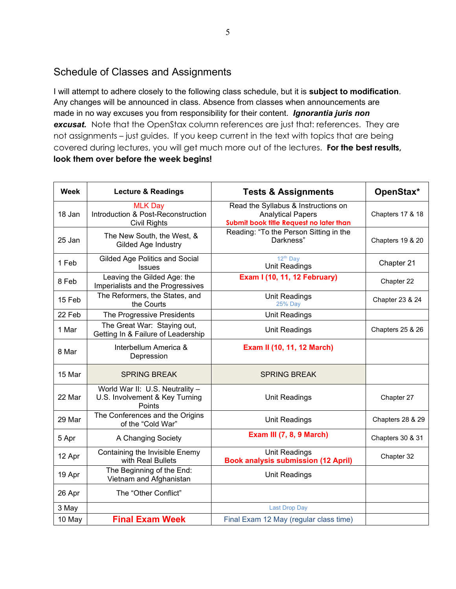# Schedule of Classes and Assignments

I will attempt to adhere closely to the following class schedule, but it is **subject to modification**. Any changes will be announced in class. Absence from classes when announcements are made in no way excuses you from responsibility for their content. *Ignorantia juris non*  **excusat.** Note that the OpenStax column references are just that: references. They are not assignments – just guides. If you keep current in the text with topics that are being covered during lectures, you will get much more out of the lectures. **For the best results, look them over before the week begins!**

| <b>Week</b> | <b>Lecture &amp; Readings</b>                                               | <b>Tests &amp; Assignments</b>                                                                             | OpenStax*                   |
|-------------|-----------------------------------------------------------------------------|------------------------------------------------------------------------------------------------------------|-----------------------------|
| 18 Jan      | <b>MLK Day</b><br>Introduction & Post-Reconstruction<br><b>Civil Rights</b> | Read the Syllabus & Instructions on<br><b>Analytical Papers</b><br>Submit book title Request no later than | <b>Chapters 17 &amp; 18</b> |
| 25 Jan      | The New South, the West, &<br><b>Gilded Age Industry</b>                    | Reading: "To the Person Sitting in the<br>Darkness"                                                        | Chapters 19 & 20            |
| 1 Feb       | <b>Gilded Age Politics and Social</b><br><b>Issues</b>                      | 12 <sup>th</sup> Day<br><b>Unit Readings</b>                                                               | Chapter 21                  |
| 8 Feb       | Leaving the Gilded Age: the<br>Imperialists and the Progressives            | <b>Exam I (10, 11, 12 February)</b>                                                                        | Chapter 22                  |
| 15 Feb      | The Reformers, the States, and<br>the Courts                                | Unit Readings<br><b>25% Day</b>                                                                            | Chapter 23 & 24             |
| 22 Feb      | The Progressive Presidents                                                  | Unit Readings                                                                                              |                             |
| 1 Mar       | The Great War: Staying out,<br>Getting In & Failure of Leadership           | Unit Readings                                                                                              | Chapters 25 & 26            |
| 8 Mar       | Interbellum America &<br>Depression                                         | Exam II (10, 11, 12 March)                                                                                 |                             |
| 15 Mar      | <b>SPRING BREAK</b>                                                         | <b>SPRING BREAK</b>                                                                                        |                             |
| 22 Mar      | World War II: U.S. Neutrality -<br>U.S. Involvement & Key Turning<br>Points | <b>Unit Readings</b>                                                                                       | Chapter 27                  |
| 29 Mar      | The Conferences and the Origins<br>of the "Cold War"                        | <b>Unit Readings</b>                                                                                       | Chapters 28 & 29            |
| 5 Apr       | A Changing Society                                                          | <b>Exam III (7, 8, 9 March)</b>                                                                            | Chapters 30 & 31            |
| 12 Apr      | Containing the Invisible Enemy<br>with Real Bullets                         | <b>Unit Readings</b><br><b>Book analysis submission (12 April)</b>                                         | Chapter 32                  |
| 19 Apr      | The Beginning of the End:<br>Vietnam and Afghanistan                        | <b>Unit Readings</b>                                                                                       |                             |
| 26 Apr      | The "Other Conflict"                                                        |                                                                                                            |                             |
| 3 May       |                                                                             | <b>Last Drop Day</b>                                                                                       |                             |
| 10 May      | <b>Final Exam Week</b>                                                      | Final Exam 12 May (regular class time)                                                                     |                             |